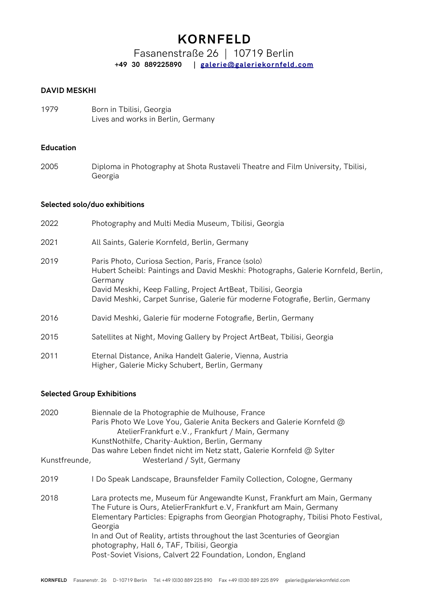# **KORNFELD**

Fasanenstraße 26 | 10719 Berlin **+49 30 889225890 | [galerie@galeriekornfeld.com](mailto:galerie@galeriekornfeld.com)**

# **DAVID MESKHI**

1979 Born in Tbilisi, Georgia Lives and works in Berlin, Germany

## **Education**

2005 Diploma in Photography at Shota Rustaveli Theatre and Film University, Tbilisi, Georgia

### **Selected solo/duo exhibitions**

| 2022 | Photography and Multi Media Museum, Tbilisi, Georgia                                                                                                                                                                                                                                                  |
|------|-------------------------------------------------------------------------------------------------------------------------------------------------------------------------------------------------------------------------------------------------------------------------------------------------------|
| 2021 | All Saints, Galerie Kornfeld, Berlin, Germany                                                                                                                                                                                                                                                         |
| 2019 | Paris Photo, Curiosa Section, Paris, France (solo)<br>Hubert Scheibl: Paintings and David Meskhi: Photographs, Galerie Kornfeld, Berlin,<br>Germany<br>David Meskhi, Keep Falling, Project ArtBeat, Tbilisi, Georgia<br>David Meshki, Carpet Sunrise, Galerie für moderne Fotografie, Berlin, Germany |
| 2016 | David Meshki, Galerie für moderne Fotografie, Berlin, Germany                                                                                                                                                                                                                                         |
| 2015 | Satellites at Night, Moving Gallery by Project ArtBeat, Tbilisi, Georgia                                                                                                                                                                                                                              |
| 2011 | Eternal Distance, Anika Handelt Galerie, Vienna, Austria<br>Higher, Galerie Micky Schubert, Berlin, Germany                                                                                                                                                                                           |

# **Selected Group Exhibitions**

| 2020<br>Kunstfreunde, | Biennale de la Photographie de Mulhouse, France<br>Paris Photo We Love You, Galerie Anita Beckers and Galerie Kornfeld @<br>AtelierFrankfurt e.V., Frankfurt / Main, Germany<br>KunstNothilfe, Charity-Auktion, Berlin, Germany<br>Das wahre Leben findet nicht im Netz statt, Galerie Kornfeld @ Sylter<br>Westerland / Sylt, Germany                                                                                                        |
|-----------------------|-----------------------------------------------------------------------------------------------------------------------------------------------------------------------------------------------------------------------------------------------------------------------------------------------------------------------------------------------------------------------------------------------------------------------------------------------|
| 2019                  | I Do Speak Landscape, Braunsfelder Family Collection, Cologne, Germany                                                                                                                                                                                                                                                                                                                                                                        |
| 2018                  | Lara protects me, Museum für Angewandte Kunst, Frankfurt am Main, Germany<br>The Future is Ours, AtelierFrankfurt e.V, Frankfurt am Main, Germany<br>Elementary Particles: Epigraphs from Georgian Photography, Tbilisi Photo Festival,<br>Georgia<br>In and Out of Reality, artists throughout the last 3 centuries of Georgian<br>photography, Hall 6, TAF, Tbilisi, Georgia<br>Post-Soviet Visions, Calvert 22 Foundation, London, England |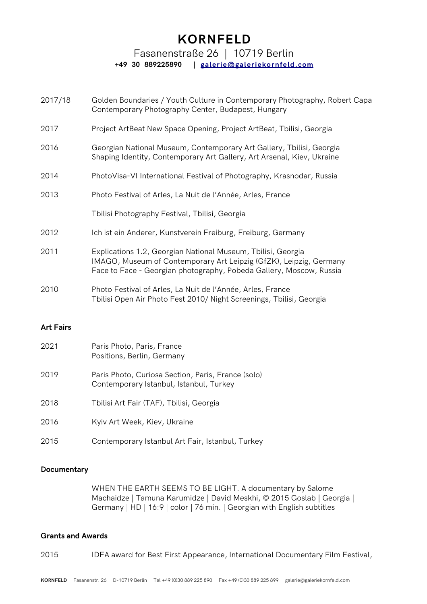# **KORNFELD**

# Fasanenstraße 26 | 10719 Berlin

# **+49 30 889225890 | [galerie@galeriekornfeld.com](mailto:galerie@galeriekornfeld.com)**

- 2017/18 Golden Boundaries / Youth Culture in Contemporary Photography, Robert Capa Contemporary Photography Center, Budapest, Hungary
- 2017 Project ArtBeat New Space Opening, Project ArtBeat, Tbilisi, Georgia
- 2016 Georgian National Museum, Contemporary Art Gallery, Tbilisi, Georgia Shaping Identity, Contemporary Art Gallery, Art Arsenal, Kiev, Ukraine
- 2014 PhotoVisa-VI International Festival of Photography, Krasnodar, Russia
- 2013 Photo Festival of Arles, La Nuit de l'Année, Arles, France

Tbilisi Photography Festival, Tbilisi, Georgia

- 2012 Ich ist ein Anderer, Kunstverein Freiburg, Freiburg, Germany
- 2011 Explications 1.2, Georgian National Museum, Tbilisi, Georgia IMAGO, Museum of Contemporary Art Leipzig (GfZK), Leipzig, Germany Face to Face - Georgian photography, Pobeda Gallery, Moscow, Russia
- 2010 Photo Festival of Arles, La Nuit de l'Année, Arles, France Tbilisi Open Air Photo Fest 2010/ Night Screenings, Tbilisi, Georgia

### **Art Fairs**

| 2021 | Paris Photo, Paris, France<br>Positions, Berlin, Germany                                      |
|------|-----------------------------------------------------------------------------------------------|
| 2019 | Paris Photo, Curiosa Section, Paris, France (solo)<br>Contemporary Istanbul, Istanbul, Turkey |
| 2018 | Tbilisi Art Fair (TAF), Tbilisi, Georgia                                                      |
| 2016 | Kyiv Art Week, Kiev, Ukraine                                                                  |
| 2015 | Contemporary Istanbul Art Fair, Istanbul, Turkey                                              |

### **Documentary**

WHEN THE EARTH SEEMS TO BE LIGHT. A documentary by Salome Machaidze | Tamuna Karumidze | David Meskhi, © 2015 Goslab | Georgia | Germany | HD | 16:9 | color | 76 min. | Georgian with English subtitles

### **Grants and Awards**

2015 IDFA award for Best First Appearance, International Documentary Film Festival,